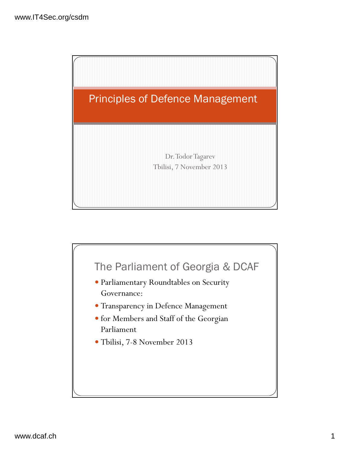

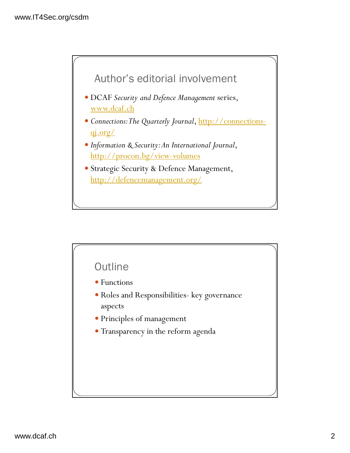

- DCAF *Security and Defence Management* series, www.dcaf.ch
- *Connections: The Quarterly Journal*, http://connectionsqj.org/
- *Information & Security: An International Journal*, http://procon.bg/view-volumes
- Strategic Security & Defence Management, http://defencemanagement.org/

## **Outline**

- Functions
- Roles and Responsibilities- key governance aspects
- Principles of management
- Transparency in the reform agenda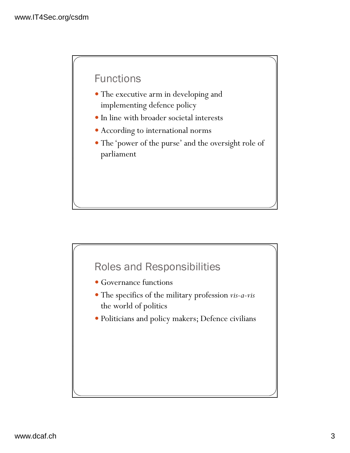## Functions

- The executive arm in developing and implementing defence policy
- In line with broader societal interests
- According to international norms
- The 'power of the purse' and the oversight role of parliament

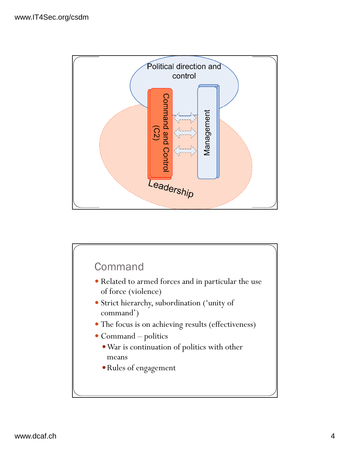

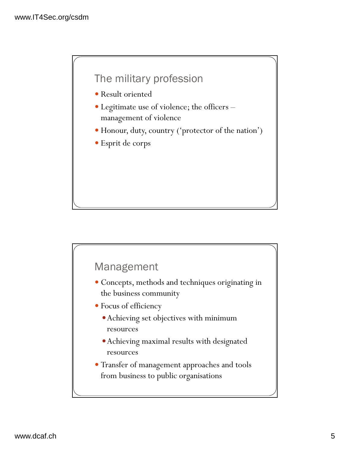# The military profession

- Result oriented
- Legitimate use of violence; the officers management of violence
- Honour, duty, country ('protector of the nation')
- Esprit de corps

### Management

- Concepts, methods and techniques originating in the business community
- Focus of efficiency
	- Achieving set objectives with minimum resources
	- Achieving maximal results with designated resources
- Transfer of management approaches and tools from business to public organisations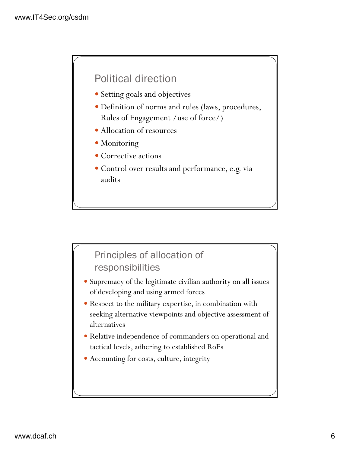# Political direction

- Setting goals and objectives
- Definition of norms and rules (laws, procedures, Rules of Engagement /use of force/)
- Allocation of resources
- Monitoring
- Corrective actions
- Control over results and performance, e.g. via audits

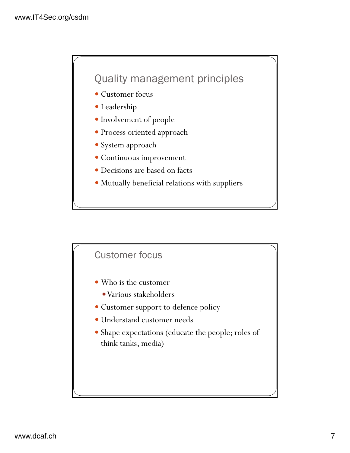# Quality management principles

- Customer focus
- Leadership
- Involvement of people
- $\bullet$  Process oriented approach
- System approach
- Continuous improvement
- Decisions are based on facts
- Mutually beneficial relations with suppliers

### Customer focus

- Who is the customer
	- Various stakeholders
- Customer support to defence policy
- Understand customer needs
- Shape expectations (educate the people; roles of think tanks, media)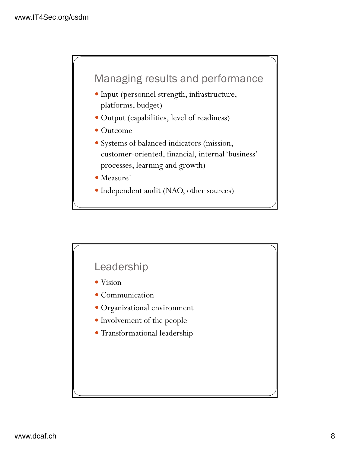

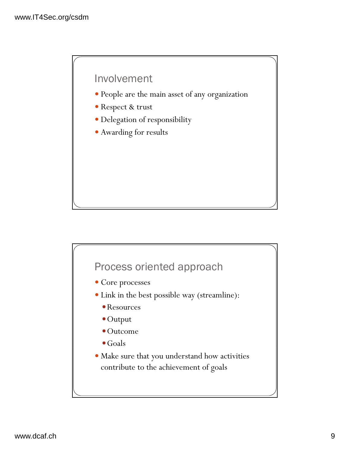### Involvement

- People are the main asset of any organization
- Respect & trust
- Delegation of responsibility
- Awarding for results

# Process oriented approach • Core processes Link in the best possible way (streamline): Resources Output Outcome • Goals Make sure that you understand how activities contribute to the achievement of goals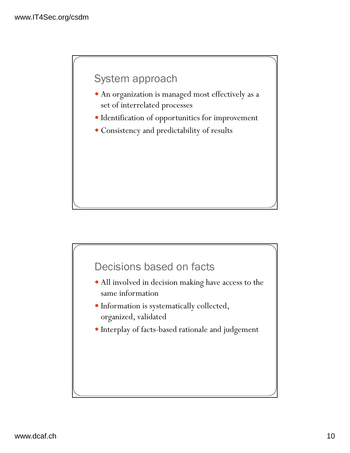## System approach

- An organization is managed most effectively as a set of interrelated processes
- Identification of opportunities for improvement
- Consistency and predictability of results

## Decisions based on facts

- All involved in decision making have access to the same information
- Information is systematically collected, organized, validated
- Interplay of facts-based rationale and judgement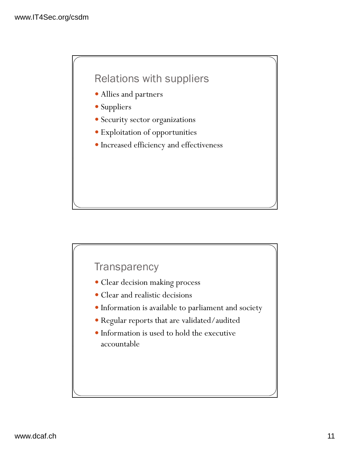# Relations with suppliers

- Allies and partners
- Suppliers
- Security sector organizations
- Exploitation of opportunities
- Increased efficiency and effectiveness

### **Transparency**

- Clear decision making process
- Clear and realistic decisions
- Information is available to parliament and society
- Regular reports that are validated/audited
- Information is used to hold the executive accountable